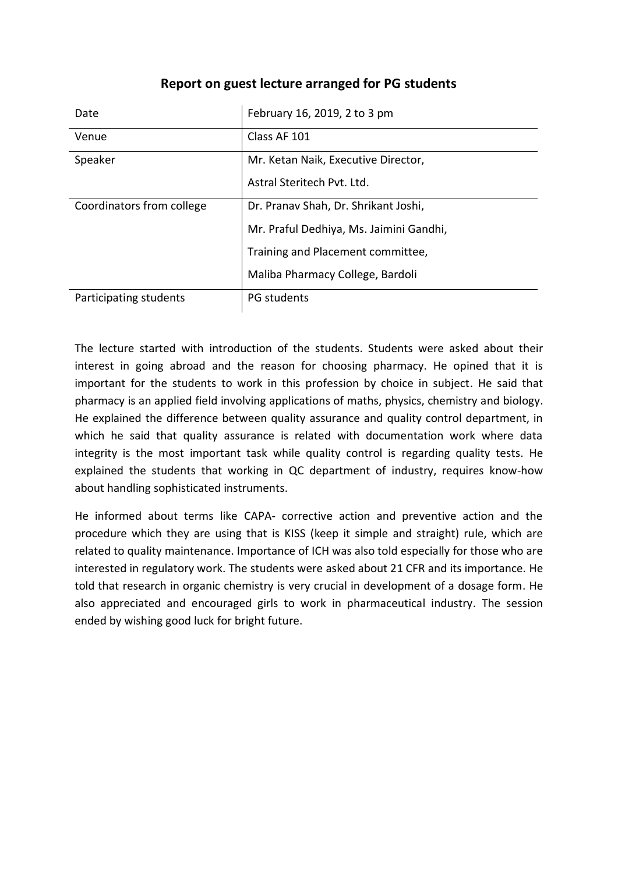| Date                      | February 16, 2019, 2 to 3 pm            |
|---------------------------|-----------------------------------------|
| Venue                     | Class AF 101                            |
| Speaker                   | Mr. Ketan Naik, Executive Director,     |
|                           | Astral Steritech Pyt. Ltd.              |
| Coordinators from college | Dr. Pranav Shah, Dr. Shrikant Joshi,    |
|                           | Mr. Praful Dedhiya, Ms. Jaimini Gandhi, |
|                           | Training and Placement committee,       |
|                           | Maliba Pharmacy College, Bardoli        |
| Participating students    | PG students                             |

## **Report on guest lecture arranged for PG students**

The lecture started with introduction of the students. Students were asked about their interest in going abroad and the reason for choosing pharmacy. He opined that it is important for the students to work in this profession by choice in subject. He said that pharmacy is an applied field involving applications of maths, physics, chemistry and biology. He explained the difference between quality assurance and quality control department, in which he said that quality assurance is related with documentation work where data integrity is the most important task while quality control is regarding quality tests. He explained the students that working in QC department of industry, requires know-how about handling sophisticated instruments.

He informed about terms like CAPA- corrective action and preventive action and the procedure which they are using that is KISS (keep it simple and straight) rule, which are related to quality maintenance. Importance of ICH was also told especially for those who are interested in regulatory work. The students were asked about 21 CFR and its importance. He told that research in organic chemistry is very crucial in development of a dosage form. He also appreciated and encouraged girls to work in pharmaceutical industry. The session ended by wishing good luck for bright future.